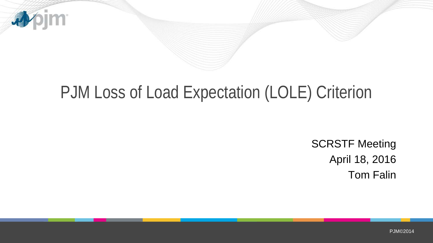

# PJM Loss of Load Expectation (LOLE) Criterion

SCRSTF Meeting April 18, 2016 Tom Falin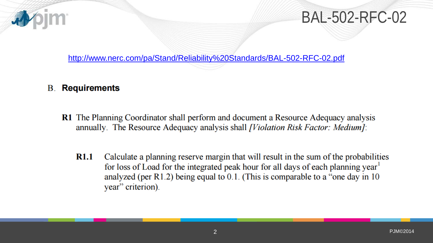

<http://www.nerc.com/pa/Stand/Reliability%20Standards/BAL-502-RFC-02.pdf>

#### **B.** Requirements

- **R1** The Planning Coordinator shall perform and document a Resource Adequacy analysis annually. The Resource Adequacy analysis shall *[Violation Risk Factor: Medium]*:
	- Calculate a planning reserve margin that will result in the sum of the probabilities **R1.1** for loss of Load for the integrated peak hour for all days of each planning year<sup>1</sup> analyzed (per R1.2) being equal to  $0.1$ . (This is comparable to a "one day in 10 year" criterion).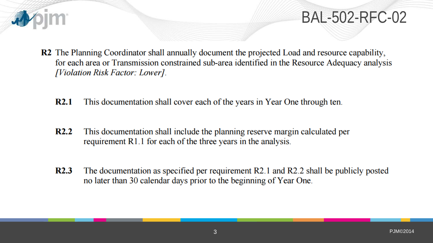

#### BAL-502-RFC-02

- R2 The Planning Coordinator shall annually document the projected Load and resource capability, for each area or Transmission constrained sub-area identified in the Resource Adequacy analysis [Violation Risk Factor: Lower].
	- $R2.1$ This documentation shall cover each of the years in Year One through ten.
	- $R2.2$ This documentation shall include the planning reserve margin calculated per requirement R1.1 for each of the three years in the analysis.
	- The documentation as specified per requirement R2.1 and R2.2 shall be publicly posted  $R2.3$ no later than 30 calendar days prior to the beginning of Year One.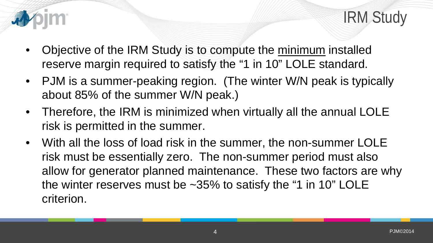



- Objective of the IRM Study is to compute the minimum installed reserve margin required to satisfy the "1 in 10" LOLE standard.
- PJM is a summer-peaking region. (The winter W/N peak is typically about 85% of the summer W/N peak.)
- Therefore, the IRM is minimized when virtually all the annual LOLE risk is permitted in the summer.
- With all the loss of load risk in the summer, the non-summer LOLE risk must be essentially zero. The non-summer period must also allow for generator planned maintenance. These two factors are why the winter reserves must be  $\sim$ 35% to satisfy the "1 in 10" LOLE criterion.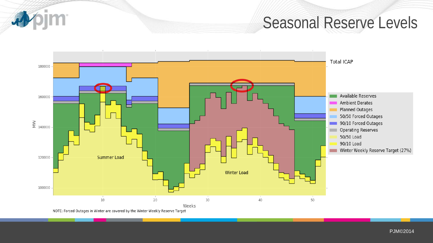Seasonal Reserve Levels



**im** 

PJM©2014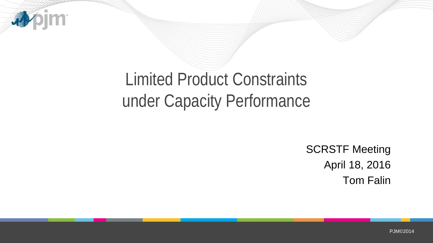

# Limited Product Constraints under Capacity Performance

SCRSTF Meeting April 18, 2016 Tom Falin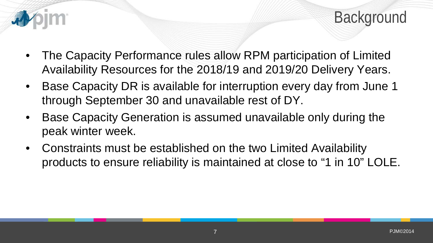



- The Capacity Performance rules allow RPM participation of Limited Availability Resources for the 2018/19 and 2019/20 Delivery Years.
- Base Capacity DR is available for interruption every day from June 1 through September 30 and unavailable rest of DY.
- Base Capacity Generation is assumed unavailable only during the peak winter week.
- Constraints must be established on the two Limited Availability products to ensure reliability is maintained at close to "1 in 10" LOLE.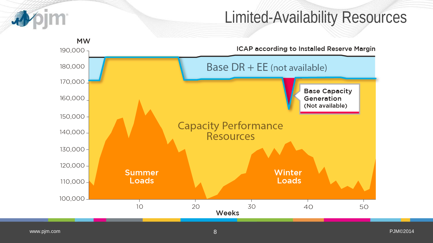

### Limited-Availability Resources

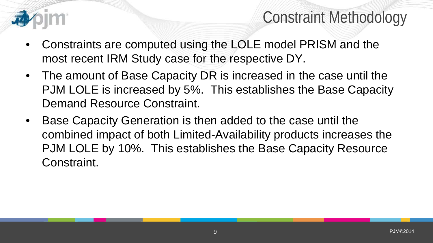

## Constraint Methodology

- Constraints are computed using the LOLE model PRISM and the most recent IRM Study case for the respective DY.
- The amount of Base Capacity DR is increased in the case until the PJM LOLE is increased by 5%. This establishes the Base Capacity Demand Resource Constraint.
- Base Capacity Generation is then added to the case until the combined impact of both Limited-Availability products increases the PJM LOLE by 10%. This establishes the Base Capacity Resource Constraint.